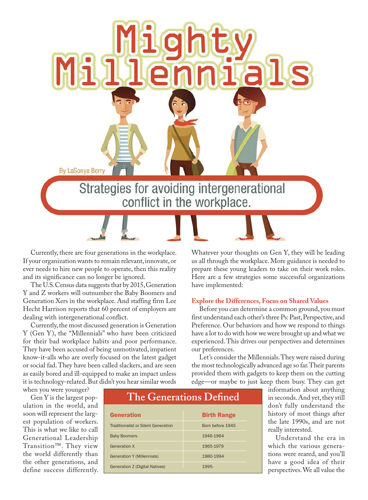

Currently, there are four generations in the workplace. If your organization wants to remain relevant, innovate, or ever needs to hire new people to operate, then this reality and its significance can no longer be ignored.

The U.S. Census data suggests that by 2015, Generation Y and Z workers will outnumber the Baby Boomers and Generation Xers in the workplace. And staffing firm Lee Hecht Harrison reports that 60 percent of employers are dealing with intergenerational conflict.

Currently, the most discussed generation is Generation Y (Gen Y), the "Millennials" who have been criticized for their bad workplace habits and poor performance. They have been accused of being unmotivated, impatient know-it-alls who are overly focused on the latest gadget or social fad. They have been called slackers, and are seen as easily bored and ill-equipped to make an impact unless it is technology-related. But didn't you hear similar words

Whatever your thoughts on Gen Y, they will be leading us all through the workplace. More guidance is needed to prepare these young leaders to take on their work roles. Here are a few strategies some successful organizations have implemented:

#### **Explore the Differences, Focus on Shared Values**

Before you can determine a common ground, you must first understand each other's three Ps: Past, Perspective, and Preference. Our behaviors and how we respond to things have a lot to do with how we were brought up and what we experienced. This drives our perspectives and determines our preferences.

Let's consider the Millennials. They were raised during the most technologically advanced age so far. Their parents provided them with gadgets to keep them on the cutting edge—or maybe to just keep them busy. They can get

when you were younger?

Gen Y is the largest population in the world, and soon will represent the largest population of workers. This is what we like to call Generational Leadership Transition™. They view the world differently than the other generations, and define success differently.

# **The Generations Defined**

| <b>Generation</b>                          | <b>Birth Range</b> |
|--------------------------------------------|--------------------|
| <b>Traditionalist or Silent Generation</b> | Born before 1945   |
| <b>Baby Boomers</b>                        | 1946-1964          |
| <b>Generation X</b>                        | 1965-1979          |
| <b>Generation Y (Millennials)</b>          | 1980-1994          |
| <b>Generation Z (Digital Natives)</b>      | 1995-              |

information about anything in seconds. And yet, they still don't fully understand the history of most things after the late 1990s, and are not really interested.

Understand the era in which the various generations were reared, and you'll have a good idea of their perspectives. We all value the